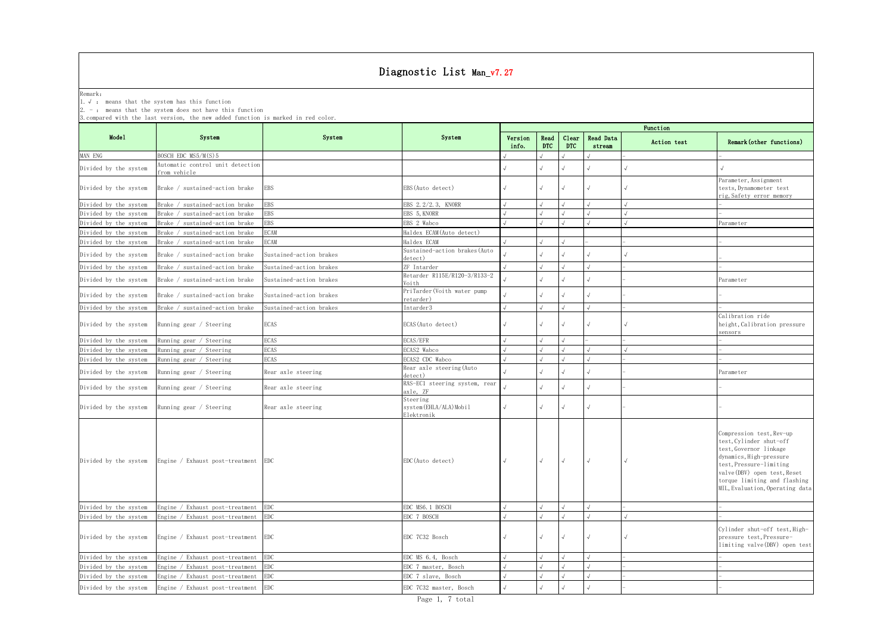|                                                                                                                                                                                                                       |                                                |                         | Diagnostic List Man_v7.27                       |                  |                    |                     |                     |             |                                                                                                                                                                                                                                        |  |  |  |
|-----------------------------------------------------------------------------------------------------------------------------------------------------------------------------------------------------------------------|------------------------------------------------|-------------------------|-------------------------------------------------|------------------|--------------------|---------------------|---------------------|-------------|----------------------------------------------------------------------------------------------------------------------------------------------------------------------------------------------------------------------------------------|--|--|--|
| Remark:<br>1. $\sqrt{ }$ : means that the system has this function<br>$2. -$ : means that the system does not have this function<br>3. compared with the last version, the new added function is marked in red color. |                                                |                         |                                                 |                  |                    |                     |                     |             |                                                                                                                                                                                                                                        |  |  |  |
|                                                                                                                                                                                                                       |                                                |                         |                                                 |                  |                    |                     |                     | Function    |                                                                                                                                                                                                                                        |  |  |  |
| Model                                                                                                                                                                                                                 | System                                         | System                  | System                                          | Version<br>info. | Read<br><b>DTC</b> | Clear<br><b>DTC</b> | Read Data<br>stream | Action test | Remark (other functions)                                                                                                                                                                                                               |  |  |  |
| MAN ENG                                                                                                                                                                                                               | BOSCH EDC MS5/M(S)5                            |                         |                                                 |                  |                    |                     |                     |             |                                                                                                                                                                                                                                        |  |  |  |
| Divided by the system                                                                                                                                                                                                 | Automatic control unit detection               |                         |                                                 |                  |                    |                     |                     |             |                                                                                                                                                                                                                                        |  |  |  |
| Divided by the system                                                                                                                                                                                                 | from vehicle<br>Brake / sustained-action brake | EBS                     | EBS (Auto detect)                               |                  |                    |                     |                     |             | Parameter, Assignment<br>tests, Dynamometer test<br>rig, Safety error memory                                                                                                                                                           |  |  |  |
| Divided by the system                                                                                                                                                                                                 | Brake / sustained-action brake                 | <b>EBS</b>              | EBS 2.2/2.3, KNORR                              |                  |                    |                     |                     |             |                                                                                                                                                                                                                                        |  |  |  |
| Divided by the system                                                                                                                                                                                                 | Brake / sustained-action brake                 | <b>EBS</b>              | EBS 5, KNORR                                    |                  |                    |                     |                     |             |                                                                                                                                                                                                                                        |  |  |  |
| Divided by the system                                                                                                                                                                                                 | Brake / sustained-action brake                 | EBS                     | EBS 2 Wabco                                     |                  |                    |                     |                     |             | <sup>9</sup> arameter                                                                                                                                                                                                                  |  |  |  |
| Divided by the system                                                                                                                                                                                                 | Brake / sustained-action brake                 | <b>ECAM</b>             | Haldex ECAM(Auto detect)                        |                  |                    |                     |                     |             |                                                                                                                                                                                                                                        |  |  |  |
| Divided by the system                                                                                                                                                                                                 | Brake / sustained-action brake                 | ECAM                    | Haldex ECAM                                     |                  |                    |                     |                     |             |                                                                                                                                                                                                                                        |  |  |  |
| Divided by the system                                                                                                                                                                                                 | Brake / sustained-action brake                 | Sustained-action brakes | Sustained-action brakes (Auto<br>detect)        |                  |                    |                     |                     |             |                                                                                                                                                                                                                                        |  |  |  |
| Divided by the system                                                                                                                                                                                                 | Brake / sustained-action brake                 | Sustained-action brakes | ZF Intarder                                     |                  |                    |                     |                     |             |                                                                                                                                                                                                                                        |  |  |  |
| Divided by the system                                                                                                                                                                                                 | Brake / sustained-action brake                 | Sustained-action brakes | Retarder R115E/R120-3/R133-2<br>Voith           |                  |                    |                     |                     |             | Parameter                                                                                                                                                                                                                              |  |  |  |
| Divided by the system                                                                                                                                                                                                 | Brake / sustained-action brake                 | Sustained-action brakes | PriTarder(Voith water pump<br>retarder)         |                  |                    |                     |                     |             |                                                                                                                                                                                                                                        |  |  |  |
| Divided by the system                                                                                                                                                                                                 | Brake / sustained-action brake                 | Sustained-action brakes | Intarder3                                       |                  |                    |                     |                     |             |                                                                                                                                                                                                                                        |  |  |  |
| Divided by the system                                                                                                                                                                                                 | Running gear / Steering                        | ECAS                    | ECAS (Auto detect)                              |                  |                    |                     | $\sqrt{ }$          |             | Calibration ride<br>height, Calibration pressure<br>sensors                                                                                                                                                                            |  |  |  |
| Divided by the system                                                                                                                                                                                                 | Running gear / Steering                        | <b>ECAS</b>             | ECAS/EFR                                        |                  |                    |                     |                     |             |                                                                                                                                                                                                                                        |  |  |  |
| Divided by the system                                                                                                                                                                                                 | Running gear / Steering                        | <b>ECAS</b>             | ECAS2 Wabco                                     |                  |                    |                     |                     |             |                                                                                                                                                                                                                                        |  |  |  |
| Divided by the system                                                                                                                                                                                                 | Running gear / Steering                        | <b>ECAS</b>             | ECAS2 CDC Wabco                                 |                  |                    |                     |                     |             |                                                                                                                                                                                                                                        |  |  |  |
| Divided by the system                                                                                                                                                                                                 | Running gear / Steering                        | Rear axle steering      | Rear axle steering (Auto<br>letect)             |                  |                    |                     |                     |             | Parameter                                                                                                                                                                                                                              |  |  |  |
| Divided by the system                                                                                                                                                                                                 | Running gear / Steering                        | Rear axle steering      | RAS-EC1 steering system, rear<br>axle, ZF       |                  | $\sqrt{ }$         |                     |                     |             |                                                                                                                                                                                                                                        |  |  |  |
| Divided by the system                                                                                                                                                                                                 | Running gear / Steering                        | Rear axle steering      | Steering<br>system(EHLA/ALA)Mobil<br>Elektronik |                  | $\sqrt{}$          |                     | $\sqrt{}$           |             |                                                                                                                                                                                                                                        |  |  |  |
| Divided by the system                                                                                                                                                                                                 | Engine / Exhaust post-treatment EDC            |                         | EDC (Auto detect)                               |                  | $\sqrt{ }$         | $\sqrt{ }$          | $\sqrt{ }$          | $\sqrt{ }$  | Compression test, Rev-up<br>test, Cylinder shut-off<br>test, Governor linkage<br>dynamics, High-pressure<br>test, Pressure-limiting<br>valve (DBV) open test, Reset<br>torque limiting and flashing<br>MIL, Evaluation, Operating data |  |  |  |
| Divided by the system                                                                                                                                                                                                 | Engine / Exhaust post-treatment                | <b>EDC</b>              | EDC MS6. 1 BOSCH                                |                  |                    |                     |                     |             |                                                                                                                                                                                                                                        |  |  |  |
| Divided by the system                                                                                                                                                                                                 | Engine / Exhaust post-treatment                | $\rm{EDC}$              | EDC 7 BOSCH                                     |                  |                    |                     |                     |             |                                                                                                                                                                                                                                        |  |  |  |
| Divided by the system                                                                                                                                                                                                 | Engine / Exhaust post-treatment                | <b>EDC</b>              | EDC 7C32 Bosch                                  |                  |                    |                     | $\sqrt{2}$          |             | Cylinder shut-off test, High-<br>pressure test, Pressure-<br>limiting valve (DBV) open test                                                                                                                                            |  |  |  |
| Divided by the system                                                                                                                                                                                                 | Engine / Exhaust post-treatment                | $\rm{EDC}$              | EDC MS 6.4, Bosch                               |                  |                    |                     |                     |             |                                                                                                                                                                                                                                        |  |  |  |
| Divided by the system                                                                                                                                                                                                 | Engine<br>/ Exhaust post-treatment             | ${\rm EDC}$             | EDC 7 master, Bosch                             |                  |                    |                     |                     |             |                                                                                                                                                                                                                                        |  |  |  |
| Divided by the system                                                                                                                                                                                                 | / Exhaust post-treatment<br>Engine             | EDC                     | EDC 7 slave, Bosch                              |                  |                    |                     |                     |             |                                                                                                                                                                                                                                        |  |  |  |
| Divided by the system                                                                                                                                                                                                 | Engine / Exhaust post-treatment                | ${\rm EDC}$             | EDC 7C32 master, Bosch                          |                  |                    |                     |                     |             |                                                                                                                                                                                                                                        |  |  |  |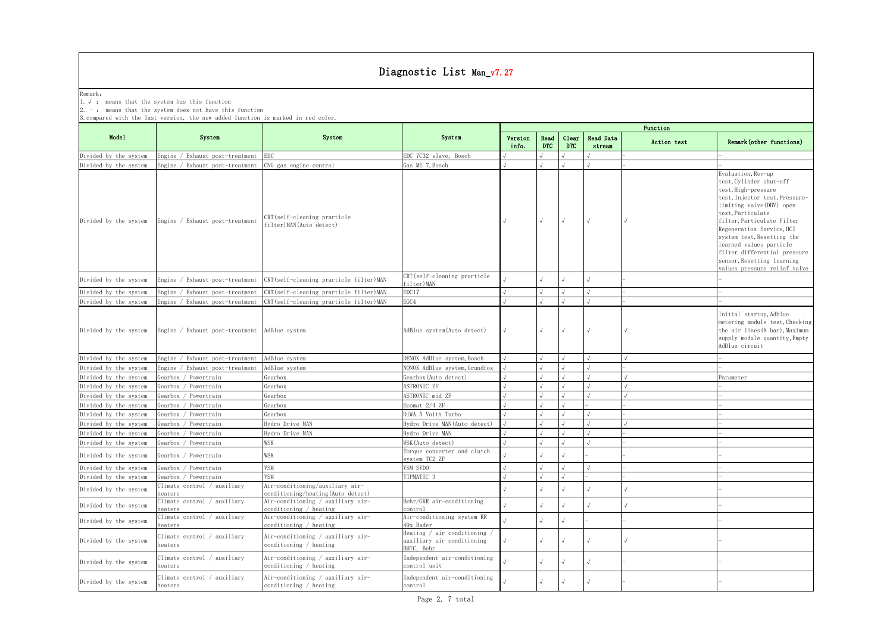|                       |                                                                                                                                                                                                            |                                                                      | Diagnostic List Man_v7.27                                                |                  |                    |                     |                     |             |                                                                                                                                                                                                                                                                                                                                                                            |  |  |  |  |  |
|-----------------------|------------------------------------------------------------------------------------------------------------------------------------------------------------------------------------------------------------|----------------------------------------------------------------------|--------------------------------------------------------------------------|------------------|--------------------|---------------------|---------------------|-------------|----------------------------------------------------------------------------------------------------------------------------------------------------------------------------------------------------------------------------------------------------------------------------------------------------------------------------------------------------------------------------|--|--|--|--|--|
| Remark:               | 1. $\sqrt{ }$ : means that the system has this function<br>$2. -$ : means that the system does not have this function<br>3. compared with the last version, the new added function is marked in red color. |                                                                      |                                                                          |                  |                    |                     |                     |             |                                                                                                                                                                                                                                                                                                                                                                            |  |  |  |  |  |
|                       |                                                                                                                                                                                                            |                                                                      |                                                                          |                  |                    |                     |                     | Function    |                                                                                                                                                                                                                                                                                                                                                                            |  |  |  |  |  |
| Model                 | System                                                                                                                                                                                                     | System                                                               | System                                                                   | Version<br>info. | Read<br><b>DTC</b> | Clear<br><b>DTC</b> | Read Data<br>stream | Action test | Remark (other functions)                                                                                                                                                                                                                                                                                                                                                   |  |  |  |  |  |
| Divided by the system | Engine / Exhaust post-treatment                                                                                                                                                                            | EDC.                                                                 | EDC 7C32 slave, Bosch                                                    |                  |                    |                     |                     |             |                                                                                                                                                                                                                                                                                                                                                                            |  |  |  |  |  |
| Divided by the system | Engine / Exhaust post-treatment                                                                                                                                                                            | CNG gas engine control                                               | Gas ME 7, Bosch                                                          |                  |                    |                     |                     |             |                                                                                                                                                                                                                                                                                                                                                                            |  |  |  |  |  |
| Divided by the system | Engine / Exhaust post-treatment                                                                                                                                                                            | CRT(self-cleaning prarticle<br>filter) MAN(Auto detect)              |                                                                          |                  |                    |                     | $\sqrt{ }$          |             | Evaluation, Rev-up<br>test, Cylinder shut-off<br>test, High-pressure<br>test, Injector test, Pressure-<br>limiting valve (DBV) open<br>test, Particulate<br>filter, Particulate Filter<br>Regeneration Service, HCI<br>system test, Resetting the<br>learned values particle<br>filter differential pressure<br>sensor, Resetting learning<br>values pressure relief valve |  |  |  |  |  |
| Divided by the system | Engine / Exhaust post-treatment                                                                                                                                                                            | CRT(self-cleaning prarticle filter)MAN                               | CRT(self-cleaning prarticle<br>filter) MAN                               |                  |                    |                     |                     |             |                                                                                                                                                                                                                                                                                                                                                                            |  |  |  |  |  |
| Divided by the system | Engine / Exhaust post-treatment                                                                                                                                                                            | CRT(self-cleaning prarticle filter)MAN                               | EDC17                                                                    |                  |                    |                     |                     |             |                                                                                                                                                                                                                                                                                                                                                                            |  |  |  |  |  |
| Divided by the system | Engine / Exhaust post-treatment                                                                                                                                                                            | CRT(self-cleaning prarticle filter)MAN                               | EGC4                                                                     |                  |                    |                     |                     |             |                                                                                                                                                                                                                                                                                                                                                                            |  |  |  |  |  |
| Divided by the system | Engine / Exhaust post-treatment                                                                                                                                                                            | AdBlue system                                                        | AdBlue system (Auto detect)                                              |                  | $\sqrt{ }$         | $\sqrt{ }$          | $\sqrt{ }$          |             | Initial startup, Adblue<br>metering module test, Checking<br>the air lines (8 bar), Maximum<br>supply module quantity, Empty<br>AdBlue circuit                                                                                                                                                                                                                             |  |  |  |  |  |
| Divided by the system | Engine / Exhaust post-treatment                                                                                                                                                                            | AdBlue system                                                        | DENOX AdBlue system, Bosch                                               |                  |                    |                     |                     |             |                                                                                                                                                                                                                                                                                                                                                                            |  |  |  |  |  |
| Divided by the system | Engine / Exhaust post-treatment                                                                                                                                                                            | AdBlue system                                                        | NONOX AdBlue system, Grundfos                                            |                  |                    |                     |                     |             |                                                                                                                                                                                                                                                                                                                                                                            |  |  |  |  |  |
| Divided by the system | Gearbox / Powertrain                                                                                                                                                                                       | Gearbox                                                              | Gearbox (Auto detect)                                                    |                  |                    |                     |                     |             | <sup>9</sup> arameter                                                                                                                                                                                                                                                                                                                                                      |  |  |  |  |  |
| Divided by the system | Gearbox / Powertrain                                                                                                                                                                                       | Gearbox                                                              | ASTRONIC ZF                                                              |                  |                    |                     |                     |             |                                                                                                                                                                                                                                                                                                                                                                            |  |  |  |  |  |
| Divided by the system | Gearbox / Powertrain                                                                                                                                                                                       | Gearbox                                                              | ASTRONIC mid ZF                                                          |                  |                    |                     |                     |             |                                                                                                                                                                                                                                                                                                                                                                            |  |  |  |  |  |
| Divided by the system | Gearbox / Powertrain                                                                                                                                                                                       | Gearbox                                                              | Ecomat 2/4 ZF                                                            |                  |                    |                     |                     |             |                                                                                                                                                                                                                                                                                                                                                                            |  |  |  |  |  |
| Divided by the system | Gearbox / Powertrain                                                                                                                                                                                       | Gearbox                                                              | DIWA.5 Voith Turbo                                                       |                  |                    |                     |                     |             |                                                                                                                                                                                                                                                                                                                                                                            |  |  |  |  |  |
| Divided by the system | Gearbox / Powertrain                                                                                                                                                                                       | Hydro Drive MAN                                                      | Hydro Drive MAN (Auto detect)                                            |                  |                    |                     |                     |             |                                                                                                                                                                                                                                                                                                                                                                            |  |  |  |  |  |
| Divided by the system | Gearbox / Powertrain                                                                                                                                                                                       | Hydro Drive MAN                                                      | Hydro Drive MAN                                                          |                  |                    |                     |                     |             |                                                                                                                                                                                                                                                                                                                                                                            |  |  |  |  |  |
| Divided by the system | Gearbox / Powertrain                                                                                                                                                                                       | WSK                                                                  | WSK (Auto detect)                                                        |                  |                    |                     |                     |             |                                                                                                                                                                                                                                                                                                                                                                            |  |  |  |  |  |
| Divided by the system | Gearbox / Powertrain                                                                                                                                                                                       | WSK                                                                  | Torque converter and clutch<br>system TC2 ZF                             |                  |                    |                     |                     |             |                                                                                                                                                                                                                                                                                                                                                                            |  |  |  |  |  |
| Divided by the system | Gearbox / Powertrain                                                                                                                                                                                       | VSM                                                                  | VSM SVDO                                                                 |                  |                    |                     |                     |             |                                                                                                                                                                                                                                                                                                                                                                            |  |  |  |  |  |
| Divided by the system | Gearbox / Powertrain                                                                                                                                                                                       | VSM                                                                  | TIPMATIC 3                                                               |                  |                    |                     |                     |             |                                                                                                                                                                                                                                                                                                                                                                            |  |  |  |  |  |
| Divided by the system | Climate control / auxiliary<br>heaters                                                                                                                                                                     | Air-conditioning/auxiliary air-<br>conditioning/heating(Auto detect) |                                                                          |                  |                    |                     |                     |             |                                                                                                                                                                                                                                                                                                                                                                            |  |  |  |  |  |
| Divided by the system | Climate control / auxiliary<br>neaters                                                                                                                                                                     | Air-conditioning / auxiliary air-<br>conditioning / heating          | Behr/GKR air-conditioning<br>ontrol                                      |                  |                    |                     |                     |             |                                                                                                                                                                                                                                                                                                                                                                            |  |  |  |  |  |
| Divided by the system | Climate control / auxiliary<br>neaters                                                                                                                                                                     | Air-conditioning / auxiliary air-<br>conditioning / heating          | Air-conditioning system KR<br>49x Bader                                  |                  |                    |                     |                     |             |                                                                                                                                                                                                                                                                                                                                                                            |  |  |  |  |  |
| Divided by the system | Climate control / auxiliary<br>heaters                                                                                                                                                                     | Air-conditioning / auxiliary air-<br>conditioning / heating          | Heating / air conditioning /<br>auxiliary air conditioning<br>BHTC, Behr |                  |                    |                     | $\sqrt{ }$          |             |                                                                                                                                                                                                                                                                                                                                                                            |  |  |  |  |  |
| Divided by the system | Climate control / auxiliary<br>heaters                                                                                                                                                                     | Air-conditioning / auxiliary air-<br>conditioning / heating          | Independent air-conditioning<br>control unit                             |                  |                    |                     |                     |             |                                                                                                                                                                                                                                                                                                                                                                            |  |  |  |  |  |
| Divided by the system | Climate control / auxiliary<br>heaters                                                                                                                                                                     | Air-conditioning / auxiliary air-<br>conditioning / heating          | Independent air-conditioning<br>control                                  |                  |                    |                     |                     |             |                                                                                                                                                                                                                                                                                                                                                                            |  |  |  |  |  |
|                       |                                                                                                                                                                                                            |                                                                      |                                                                          |                  |                    |                     |                     |             |                                                                                                                                                                                                                                                                                                                                                                            |  |  |  |  |  |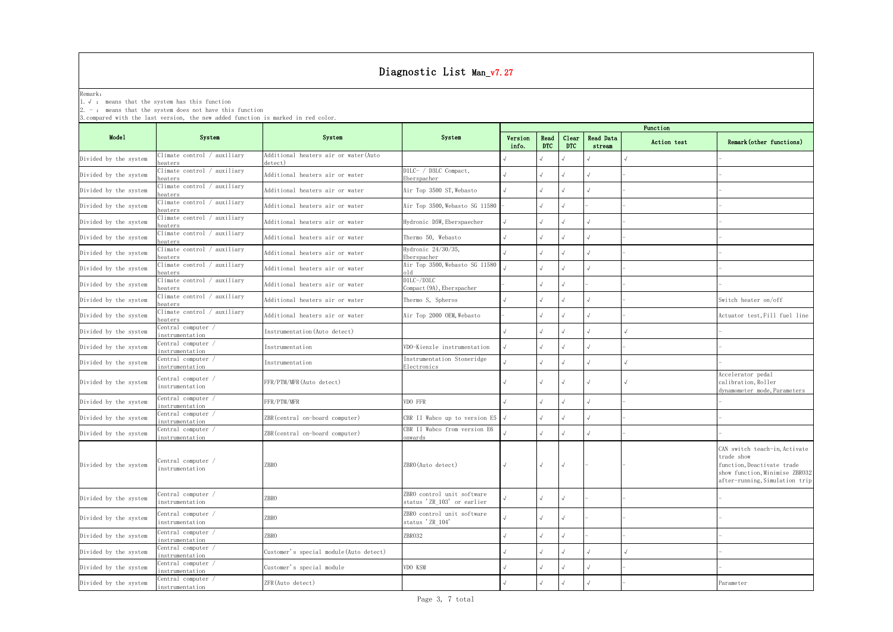|                                                                                               | Diagnostic List Man_v7.27                                                                                             |                                                 |                                                          |                  |                    |                     |                     |             |                                                                                                                                               |  |  |
|-----------------------------------------------------------------------------------------------|-----------------------------------------------------------------------------------------------------------------------|-------------------------------------------------|----------------------------------------------------------|------------------|--------------------|---------------------|---------------------|-------------|-----------------------------------------------------------------------------------------------------------------------------------------------|--|--|
| Remark:                                                                                       | 1. $\sqrt{ }$ : means that the system has this function<br>$2. -$ : means that the system does not have this function |                                                 |                                                          |                  |                    |                     |                     |             |                                                                                                                                               |  |  |
| 3. compared with the last version, the new added function is marked in red color.<br>Function |                                                                                                                       |                                                 |                                                          |                  |                    |                     |                     |             |                                                                                                                                               |  |  |
| Mode1                                                                                         | System                                                                                                                | System                                          | System                                                   | Version<br>info. | Read<br><b>DTC</b> | Clear<br><b>DTC</b> | Read Data<br>stream | Action test | Remark (other functions)                                                                                                                      |  |  |
| Divided by the system                                                                         | Climate control / auxiliary<br>neaters                                                                                | Additional heaters air or water(Auto<br>detect) |                                                          |                  |                    |                     |                     |             |                                                                                                                                               |  |  |
| Divided by the system                                                                         | Climate control / auxiliary<br>eaters                                                                                 | Additional heaters air or water                 | D1LC- / D3LC Compact,<br>Eberspacher                     |                  |                    |                     |                     |             |                                                                                                                                               |  |  |
| Divided by the system                                                                         | Climate control / auxiliary<br>neaters                                                                                | Additional heaters air or water                 | Air Top 3500 ST, Webasto                                 |                  |                    |                     |                     |             |                                                                                                                                               |  |  |
| Divided by the system                                                                         | Climate control / auxiliary<br>neaters                                                                                | Additional heaters air or water                 | Air Top 3500, Webasto SG 11580                           |                  |                    |                     |                     |             |                                                                                                                                               |  |  |
| Divided by the system                                                                         | Climate control / auxiliary<br>heaters                                                                                | Additional heaters air or water                 | Hydronic D5W, Eberspaecher                               |                  |                    |                     |                     |             |                                                                                                                                               |  |  |
| Divided by the system                                                                         | Climate control / auxiliary<br>neaters                                                                                | Additional heaters air or water                 | Thermo 50, Webasto                                       |                  |                    |                     |                     |             |                                                                                                                                               |  |  |
| Divided by the system                                                                         | Climate control / auxiliary<br>neaters                                                                                | Additional heaters air or water                 | Hydronic 24/30/35,<br>Eberspacher                        |                  |                    | $\sqrt{}$           |                     |             |                                                                                                                                               |  |  |
| Divided by the system                                                                         | Climate control / auxiliary<br>neaters                                                                                | Additional heaters air or water                 | Air Top 3500, Webasto SG 11580<br>old                    |                  |                    |                     |                     |             |                                                                                                                                               |  |  |
| Divided by the system                                                                         | Climate control / auxiliary<br>heaters                                                                                | Additional heaters air or water                 | D1LC-/D3LC<br>Compact (9A), Eberspacher                  |                  |                    |                     |                     |             |                                                                                                                                               |  |  |
| Divided by the system                                                                         | Climate control / auxiliary<br>heaters                                                                                | Additional heaters air or water                 | Thermo S, Spheros                                        |                  |                    |                     |                     |             | Switch heater on/off                                                                                                                          |  |  |
| Divided by the system                                                                         | Climate control / auxiliary<br>heaters                                                                                | Additional heaters air or water                 | Air Top 2000 OEM, Webasto                                |                  |                    | $\sqrt{ }$          |                     |             | Actuator test, Fill fuel line                                                                                                                 |  |  |
| Divided by the system                                                                         | Central computer /<br>instrumentation                                                                                 | Instrumentation (Auto detect)                   |                                                          |                  |                    |                     |                     |             |                                                                                                                                               |  |  |
| Divided by the system                                                                         | Central computer /<br>instrumentation                                                                                 | Instrumentation                                 | VDO-Kienzle instrumentation                              |                  |                    |                     |                     |             |                                                                                                                                               |  |  |
| Divided by the system                                                                         | Central computer /<br>instrumentation                                                                                 | Instrumentation                                 | Instrumentation Stoneridge<br>Electronics                |                  |                    |                     |                     |             |                                                                                                                                               |  |  |
| Divided by the system                                                                         | Central computer /<br>instrumentation                                                                                 | FFR/PTM/MFR (Auto detect)                       |                                                          |                  |                    | $\sqrt{ }$          |                     |             | Accelerator pedal<br>calibration, Roller<br>dynamometer mode, Parameters                                                                      |  |  |
| Divided by the system                                                                         | Central computer /<br>instrumentation                                                                                 | FFR/PTM/MFR                                     | VDO FFR                                                  |                  |                    | $\sqrt{ }$          | $\sqrt{ }$          |             |                                                                                                                                               |  |  |
| Divided by the system                                                                         | $\overline{\text{Central}}$ computer /<br>instrumentation                                                             | ZBR (central on-board computer)                 | CBR II Wabco up to version E5 $\sqrt{}$                  |                  | $\sqrt{ }$         | $\sqrt{ }$          |                     |             |                                                                                                                                               |  |  |
| Divided by the system                                                                         | Central computer /<br>instrumentation                                                                                 | ZBR(central on-board computer)                  | CBR II Wabco from version E6<br>onwards                  |                  |                    |                     |                     |             |                                                                                                                                               |  |  |
| Divided by the system                                                                         | Central computer /<br>instrumentation                                                                                 | <b>ZBRO</b>                                     | ZBRO (Auto detect)                                       |                  | $\sqrt{ }$         | $\sqrt{ }$          |                     |             | CAN switch teach-in, Activate<br>trade show<br>function, Deactivate trade<br>show function, Minimise ZBR032<br>after-running, Simulation trip |  |  |
| Divided by the system                                                                         | Central computer /<br>instrumentation                                                                                 | ZBRO                                            | ZBRO control unit software<br>status 'ZR_103' or earlier |                  |                    |                     |                     |             |                                                                                                                                               |  |  |
| Divided by the system                                                                         | Central computer /<br>instrumentation                                                                                 | ZBRO                                            | ZBRO control unit software<br>status 'ZR_104'            |                  |                    |                     |                     |             |                                                                                                                                               |  |  |
| Divided by the system                                                                         | Central computer /<br>instrumentation                                                                                 | ZBRO                                            | ZBR032                                                   |                  |                    |                     |                     |             |                                                                                                                                               |  |  |
| Divided by the system                                                                         | Central computer /<br>instrumentation                                                                                 | Customer's special module (Auto detect)         |                                                          |                  |                    |                     |                     |             |                                                                                                                                               |  |  |
| Divided by the system                                                                         | Central computer /<br>instrumentation                                                                                 | Customer's special module                       | VDO KSM                                                  |                  |                    |                     |                     |             |                                                                                                                                               |  |  |
| Divided by the system                                                                         | Central computer /<br><i>instrumentation</i>                                                                          | ZFR(Auto detect)                                |                                                          |                  |                    |                     |                     |             | Parameter                                                                                                                                     |  |  |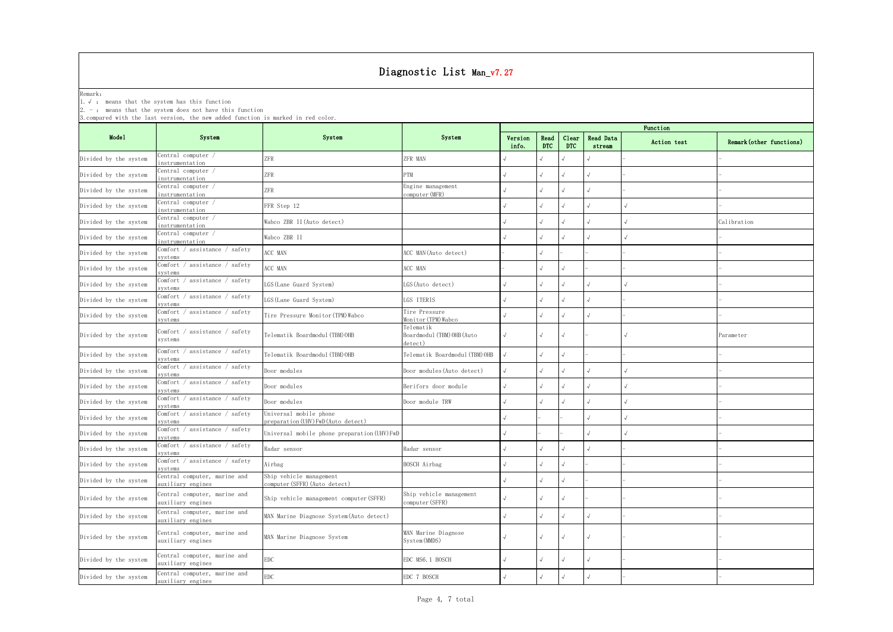|                       |                                                                                                                                                                                                            |                                                               | Diagnostic List Man_v7.27                          |                  |                    |                     |                     |             |                          |
|-----------------------|------------------------------------------------------------------------------------------------------------------------------------------------------------------------------------------------------------|---------------------------------------------------------------|----------------------------------------------------|------------------|--------------------|---------------------|---------------------|-------------|--------------------------|
| Remark:<br>2. - .     | $\therefore$ $\forall$ : means that the system has this function<br>means that the system does not have this function<br>3. compared with the last version, the new added function is marked in red color. |                                                               |                                                    |                  |                    |                     |                     |             |                          |
|                       |                                                                                                                                                                                                            |                                                               |                                                    |                  |                    |                     |                     | Function    |                          |
| Model                 | System                                                                                                                                                                                                     | System                                                        | System                                             | Version<br>info. | Read<br><b>DTC</b> | Clear<br><b>DTC</b> | Read Data<br>stream | Action test | Remark (other functions) |
| Divided by the system | Central computer /<br>instrumentation                                                                                                                                                                      | ZFR                                                           | ZFR MAN                                            |                  |                    |                     |                     |             |                          |
| Divided by the system | Central computer /<br>instrumentation                                                                                                                                                                      | ZFR                                                           | PTM                                                |                  |                    |                     |                     |             |                          |
| Divided by the system | Central computer /<br>instrumentation                                                                                                                                                                      | ZFR                                                           | Engine management<br>computer (MFR)                |                  |                    |                     |                     |             |                          |
| Divided by the system | Central computer /<br>instrumentation                                                                                                                                                                      | FFR Step 12                                                   |                                                    |                  |                    |                     |                     |             |                          |
| Divided by the system | Central computer /<br>instrumentation                                                                                                                                                                      | Wabco ZBR II (Auto detect)                                    |                                                    |                  |                    |                     |                     |             | Calibration              |
| Divided by the system | Central computer /<br>instrumentation                                                                                                                                                                      | Wabco ZBR II                                                  |                                                    |                  |                    |                     |                     |             |                          |
| Divided by the system | Comfort / assistance / safety<br>systems                                                                                                                                                                   | ACC MAN                                                       | ACC MAN (Auto detect)                              |                  |                    |                     |                     |             |                          |
| Divided by the system | Comfort / assistance / safety<br>systems                                                                                                                                                                   | ACC MAN                                                       | ACC MAN                                            |                  |                    |                     |                     |             |                          |
| Divided by the system | Comfort / assistance / safety<br>systems                                                                                                                                                                   | LGS (Lane Guard System)                                       | LGS(Auto detect)                                   |                  |                    |                     |                     |             |                          |
| Divided by the system | Comfort / assistance / safety<br>systems                                                                                                                                                                   | LGS (Lane Guard System)                                       | LGS ITERIS                                         |                  |                    |                     |                     |             |                          |
| Divided by the system | Comfort / assistance / safety<br>systems                                                                                                                                                                   | Tire Pressure Monitor (TPM) Wabco                             | Tire Pressure<br>Monitor (TPM) Wabco               |                  |                    |                     |                     |             |                          |
| Divided by the system | Comfort / assistance / safety<br>systems                                                                                                                                                                   | Telematik Boardmodul (TBM)OHB                                 | Telematik<br>Boardmodul (TBM) OHB (Auto<br>detect) |                  |                    |                     |                     |             | Parameter                |
| Divided by the system | assistance / safety<br>Comfort /<br>svstems                                                                                                                                                                | Telematik Boardmodul (TBM) OHB                                | [elematik Boardmodul(TBM)OHB                       |                  |                    |                     |                     |             |                          |
| Divided by the system | Comfort / assistance / safety<br>systems                                                                                                                                                                   | Door modules                                                  | Door modules (Auto detect)                         |                  |                    |                     | $\sqrt{ }$          |             |                          |
| Divided by the system | Comfort / assistance / safety<br>systems                                                                                                                                                                   | Door modules                                                  | Berifors door module                               |                  |                    |                     |                     |             |                          |
| Divided by the system | Comfort / assistance / safety<br>svstems                                                                                                                                                                   | Door modules                                                  | Door module TRW                                    | J                |                    |                     | $\sqrt{ }$          |             |                          |
| Divided by the system | Comfort / assistance / safety<br>systems                                                                                                                                                                   | Universal mobile phone<br>preparation (UHV) FwD (Auto detect) |                                                    |                  |                    |                     |                     |             |                          |
| Divided by the system | Comfort / assistance / safety<br>systems                                                                                                                                                                   | Universal mobile phone preparation (UHV) FwD                  |                                                    |                  |                    |                     |                     |             |                          |
| Divided by the system | Comfort / assistance / safety<br>systems                                                                                                                                                                   | Radar sensor                                                  | Radar sensor                                       |                  |                    |                     |                     |             |                          |
| Divided by the system | Comfort / assistance / safety<br>systems                                                                                                                                                                   | Airbag                                                        | BOSCH Airbag                                       |                  |                    |                     |                     |             |                          |
| Divided by the system | Central computer, marine and<br>auxiliary engines                                                                                                                                                          | Ship vehicle management<br>computer (SFFR) (Auto detect)      |                                                    |                  |                    |                     |                     |             |                          |
| Divided by the system | Central computer, marine and<br>auxiliary engines                                                                                                                                                          | Ship vehicle management computer (SFFR)                       | Ship vehicle management<br>computer (SFFR)         |                  |                    |                     |                     |             |                          |
| Divided by the system | Central computer, marine and<br>auxiliary engines                                                                                                                                                          | MAN Marine Diagnose System (Auto detect)                      |                                                    |                  |                    |                     |                     |             |                          |
| Divided by the system | Central computer, marine and<br>auxiliary engines                                                                                                                                                          | MAN Marine Diagnose System                                    | MAN Marine Diagnose<br>System (MMDS)               |                  |                    | √                   | $\sqrt{2}$          |             |                          |
| Divided by the system | Central computer, marine and<br>auxiliary engines                                                                                                                                                          | $\rm{EDC}$                                                    | EDC MS6. 1 BOSCH                                   |                  |                    |                     | $\sqrt{ }$          |             |                          |
| Divided by the system | Central computer, marine and<br>auxiliary engines                                                                                                                                                          | $\rm{EDC}$                                                    | EDC 7 BOSCH                                        |                  |                    |                     |                     |             |                          |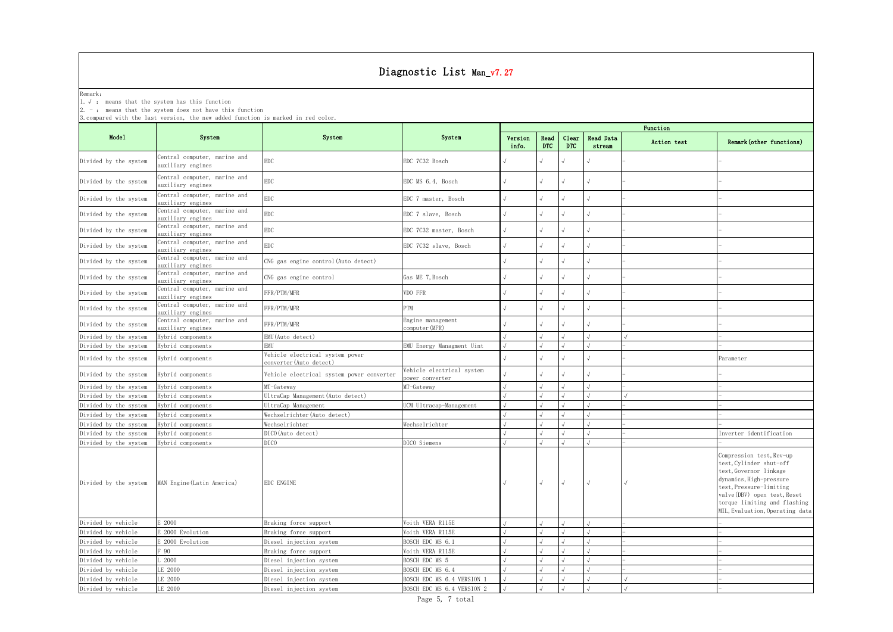|                       |                                                                                                                                                 |                                                            | Diagnostic List Man_v7.27                    |            |            |            |           |             |                                                                                                                                                                                                                                        |
|-----------------------|-------------------------------------------------------------------------------------------------------------------------------------------------|------------------------------------------------------------|----------------------------------------------|------------|------------|------------|-----------|-------------|----------------------------------------------------------------------------------------------------------------------------------------------------------------------------------------------------------------------------------------|
| Remark:               |                                                                                                                                                 |                                                            |                                              |            |            |            |           |             |                                                                                                                                                                                                                                        |
|                       | 1. $\sqrt{ }$ : means that the system has this function                                                                                         |                                                            |                                              |            |            |            |           |             |                                                                                                                                                                                                                                        |
|                       | 2. $-$ : means that the system does not have this function<br>3. compared with the last version, the new added function is marked in red color. |                                                            |                                              |            |            |            |           |             |                                                                                                                                                                                                                                        |
|                       |                                                                                                                                                 |                                                            |                                              |            |            |            |           | Function    |                                                                                                                                                                                                                                        |
| Model                 | System                                                                                                                                          | System                                                     | System                                       | Version    | Read       | Clear      | Read Data |             |                                                                                                                                                                                                                                        |
|                       |                                                                                                                                                 |                                                            |                                              | info.      | <b>DTC</b> | <b>DTC</b> | stream    | Action test | Remark (other functions)                                                                                                                                                                                                               |
| Divided by the system | Central computer, marine and                                                                                                                    | <b>EDC</b>                                                 | EDC 7C32 Bosch                               |            |            |            |           |             |                                                                                                                                                                                                                                        |
|                       | auxiliary engines                                                                                                                               |                                                            |                                              |            |            |            |           |             |                                                                                                                                                                                                                                        |
| Divided by the system | Central computer, marine and<br>auxiliary engines                                                                                               | ${\rm EDC}$                                                | EDC MS 6.4, Bosch                            |            |            |            |           |             |                                                                                                                                                                                                                                        |
| Divided by the system | Central computer, marine and<br>auxiliary engines                                                                                               | ${\rm EDC}$                                                | EDC 7 master, Bosch                          |            |            |            |           |             |                                                                                                                                                                                                                                        |
| Divided by the system | Central computer, marine and                                                                                                                    | ${\rm EDC}$                                                | EDC 7 slave, Bosch                           |            |            |            |           |             |                                                                                                                                                                                                                                        |
|                       | auxiliary engines<br>Central computer, marine and                                                                                               | ${\rm EDC}$                                                | EDC 7C32 master, Bosch                       |            |            |            |           |             |                                                                                                                                                                                                                                        |
| Divided by the system | auxiliary engines<br>Central computer, marine and                                                                                               |                                                            |                                              |            |            |            |           |             |                                                                                                                                                                                                                                        |
| Divided by the system | auxiliary engines                                                                                                                               | ${\rm EDC}$                                                | EDC 7C32 slave, Bosch                        |            |            |            |           |             |                                                                                                                                                                                                                                        |
| Divided by the system | Central computer, marine and<br>auxiliary engines                                                                                               | CNG gas engine control (Auto detect)                       |                                              |            |            |            |           |             |                                                                                                                                                                                                                                        |
| Divided by the system | Central computer, marine and                                                                                                                    | CNG gas engine control                                     | Gas ME 7, Bosch                              |            |            |            |           |             |                                                                                                                                                                                                                                        |
| Divided by the system | auxiliary engines<br>Central computer, marine and                                                                                               | FFR/PTM/MFR                                                | VDO FFR                                      |            |            |            |           |             |                                                                                                                                                                                                                                        |
| Divided by the system | auxiliary engines<br>Central computer, marine and                                                                                               | FFR/PTM/MFR                                                | PTM                                          |            |            |            |           |             |                                                                                                                                                                                                                                        |
|                       | auxiliary engines<br>Central computer, marine and                                                                                               |                                                            | Engine management                            |            |            |            |           |             |                                                                                                                                                                                                                                        |
| Divided by the system | auxiliary engines                                                                                                                               | FFR/PTM/MFR                                                | computer(MFR)                                |            |            |            |           |             |                                                                                                                                                                                                                                        |
| Divided by the system | Hybrid components                                                                                                                               | EMU (Auto detect)                                          |                                              |            |            |            |           |             |                                                                                                                                                                                                                                        |
| Divided by the system | Hybrid components                                                                                                                               | <b>EMU</b>                                                 | EMU Energy Managment Uint                    |            |            |            |           |             |                                                                                                                                                                                                                                        |
| Divided by the system | Hybrid components                                                                                                                               | Vehicle electrical system power<br>converter (Auto detect) |                                              |            |            |            |           |             | Parameter                                                                                                                                                                                                                              |
| Divided by the system | Hybrid components                                                                                                                               | Vehicle electrical system power converter                  | Vehicle electrical system<br>power converter |            |            |            |           |             |                                                                                                                                                                                                                                        |
| Divided by the system | lybrid components                                                                                                                               | MT-Gateway                                                 | MT-Gateway                                   |            |            |            |           |             |                                                                                                                                                                                                                                        |
| Divided by the system | Hybrid components                                                                                                                               | UltraCap Management (Auto detect)                          |                                              |            |            |            |           |             |                                                                                                                                                                                                                                        |
| Divided by the system | Hybrid components                                                                                                                               | UltraCap Management                                        | UCM Ultracap-Management                      | $\sqrt{ }$ |            | $\sqrt{ }$ | । √       |             |                                                                                                                                                                                                                                        |
| Divided by the system | Hybrid components                                                                                                                               | Wechselrichter (Auto detect)                               |                                              |            |            |            |           |             |                                                                                                                                                                                                                                        |
| Divided by the system | Hybrid components                                                                                                                               | Wechselrichter                                             | Wechselrichter                               |            |            |            |           |             |                                                                                                                                                                                                                                        |
| Divided by the system | Hybrid components                                                                                                                               | DICO (Auto detect)                                         |                                              |            |            |            |           |             | Inverter identification                                                                                                                                                                                                                |
| Divided by the system | Hybrid components                                                                                                                               | <b>DICO</b>                                                | DICO Siemens                                 |            |            |            |           |             |                                                                                                                                                                                                                                        |
| Divided by the system | MAN Engine (Latin America)                                                                                                                      | EDC ENGINE                                                 |                                              |            | $\sqrt{ }$ | $\sqrt{ }$ |           |             | Compression test, Rev-up<br>test, Cylinder shut-off<br>test, Governor linkage<br>dynamics, High-pressure<br>test, Pressure-limiting<br>valve (DBV) open test, Reset<br>torque limiting and flashing<br>MIL, Evaluation, Operating data |
| Divided by vehicle    | E 2000                                                                                                                                          | Braking force support                                      | Voith VERA R115E                             |            |            |            |           |             |                                                                                                                                                                                                                                        |
| Divided by vehicle    | E 2000 Evolution                                                                                                                                | Braking force support                                      | Voith VERA R115E                             |            |            |            |           |             |                                                                                                                                                                                                                                        |
| Divided by vehicle    | E 2000 Evolution                                                                                                                                | Diesel injection system                                    | BOSCH EDC MS 6.1                             |            |            |            |           |             |                                                                                                                                                                                                                                        |
| Divided by vehicle    | F 90                                                                                                                                            | Braking force support                                      | Voith VERA R115E                             |            |            |            |           |             |                                                                                                                                                                                                                                        |
| Divided by vehicle    | 2000                                                                                                                                            | Diesel injection system                                    | BOSCH EDC MS 5                               |            |            |            |           |             |                                                                                                                                                                                                                                        |
| Divided by vehicle    | LE 2000                                                                                                                                         | Diesel injection system                                    | BOSCH EDC MS 6.4                             |            |            |            |           |             |                                                                                                                                                                                                                                        |
| Divided by vehicle    | LE 2000                                                                                                                                         | Diesel injection system                                    | BOSCH EDC MS 6.4 VERSION                     |            |            |            |           |             |                                                                                                                                                                                                                                        |
|                       |                                                                                                                                                 |                                                            |                                              |            |            |            |           |             |                                                                                                                                                                                                                                        |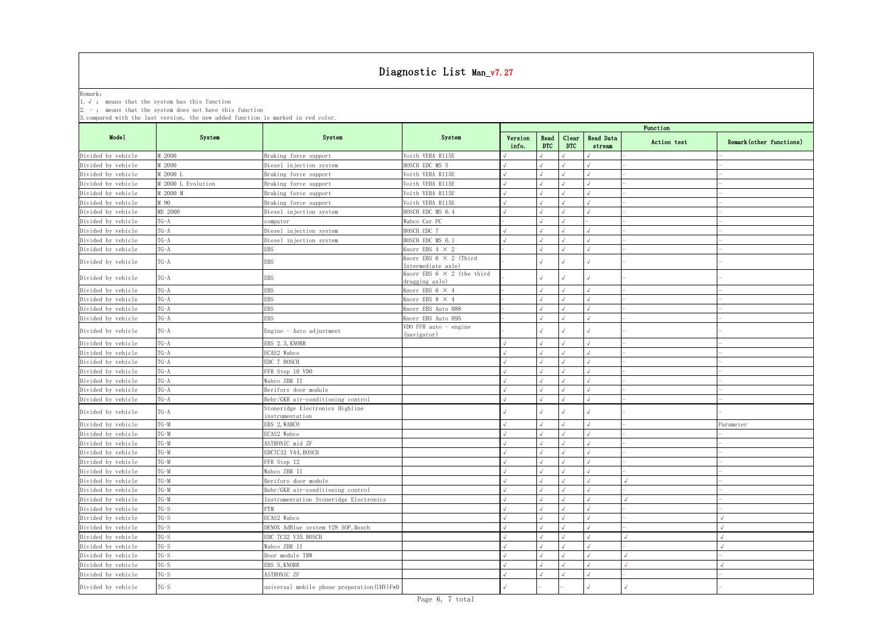| 1. $\sqrt{ }$ : means that the system has this function<br>$2. -$ : means that the system does not have this function<br>Function<br>Mode1<br>System<br>System<br>System<br>Read Data<br>Version<br>Read<br>Clear<br>Remark (other functions)<br>Action test<br><b>DTC</b><br><b>DTC</b><br>info.<br>stream<br>M 2000<br>Voith VERA R115E<br>Braking force support<br>M 2000<br>BOSCH EDC MS 5<br>Diesel injection system<br>M 2000 L<br>Voith VERA R115E<br>Braking force support<br>M 2000 L Evolution<br>Voith VERA R115E<br>Braking force support<br>M 2000 M<br>Voith VERA R115E<br>Braking force support<br>M 90<br>Voith VERA R115E<br>Braking force support<br>ME 2000<br>BOSCH EDC MS 6.4<br>Diesel injection system<br>$T G - A$<br>Wabco Car PC<br>computer<br>$TG - A$<br>Diesel injection system<br>BOSCH EDC 7<br>$TG-A$<br>Diesel injection system<br>BOSCH EDC MS 6.1<br>$TG-A$<br>Knorr EBS 4 $\times$ 2<br>EBS<br>Knorr EBS $6 \times 2$ (Third<br>$TG-A$<br>EBS<br>Intermediate axle)<br>Knorr EBS $6 \times 2$ (the third<br>$TG-A$<br><b>EBS</b><br>dragging axle)<br>$TG - A$<br>EBS<br>Knorr EBS 6 $\times$ 4<br>$TG - A$<br>EBS<br>Knorr EBS 8 $\times$ 4<br>$TG - A$<br>Knorr EBS Auto H88<br>EBS<br>$TG - A$<br>Knorr EBS Auto H95<br>EBS<br>VDO FFR auto $-$ engine<br>$TG - A$<br>Engine $-$ Auto adjustment<br>(navigator)<br>$TG - A$<br>EBS 2.3, KNORR<br>$TG - A$<br>ECAS2 Wabco<br>$TG-A$<br>EDC 7 BOSCH<br>$TG - A$<br>FFR Step 10 VDO<br>$TG - A$<br>Wabco ZBR II<br>Divided by vehicle<br>$TG-A$<br>Berifors door module<br>$T G - A$<br>Behr/GKR air-conditioning control<br>Stoneridge Electronics Highline<br>$TG - A$<br>instrumentation<br>$T G-M$<br>EBS 2, WABCO<br>Parameter<br>$T G-M$<br>ECAS2 Wabco<br>$TG-M$<br>ASTRONIC mid ZF<br>$T G-M$<br>EDC7C32 V44, BOSCH<br>$T G-M$<br>FFR Step 12<br>$T G-M$<br>Wabco ZBR II<br>$T G-M$<br>Berifors door module<br>$T G-M$<br>Behr/GKR air-conditioning control<br>$T G-M$<br>Instrumentation Stoneridge Electronics<br>$TG-S$<br>PTM<br>$TG-S$<br>ECAS2 Wabco<br>$TG-S$<br>DENOX AdBlue system V28 SOP, Bosch<br>$TG-S$<br>EDC 7C32 V35. BOSCH<br>$TG-S$<br>Wabco ZBR II<br>$TG-S$<br>Door module TRW<br>$TG-S$<br>EBS 5, KNORR<br>$TG-S$<br>ASTRONIC ZF<br>$TG-S$<br>universal mobile phone preparation (UHV) FwD |                                                                                   |  |  | Diagnostic List Man_v7.27 |  |  |  |  |  |  |  |  |  |  |
|--------------------------------------------------------------------------------------------------------------------------------------------------------------------------------------------------------------------------------------------------------------------------------------------------------------------------------------------------------------------------------------------------------------------------------------------------------------------------------------------------------------------------------------------------------------------------------------------------------------------------------------------------------------------------------------------------------------------------------------------------------------------------------------------------------------------------------------------------------------------------------------------------------------------------------------------------------------------------------------------------------------------------------------------------------------------------------------------------------------------------------------------------------------------------------------------------------------------------------------------------------------------------------------------------------------------------------------------------------------------------------------------------------------------------------------------------------------------------------------------------------------------------------------------------------------------------------------------------------------------------------------------------------------------------------------------------------------------------------------------------------------------------------------------------------------------------------------------------------------------------------------------------------------------------------------------------------------------------------------------------------------------------------------------------------------------------------------------------------------------------------------------------------------------------------------------------------------------------------------------------------------------------------------------------------------|-----------------------------------------------------------------------------------|--|--|---------------------------|--|--|--|--|--|--|--|--|--|--|
|                                                                                                                                                                                                                                                                                                                                                                                                                                                                                                                                                                                                                                                                                                                                                                                                                                                                                                                                                                                                                                                                                                                                                                                                                                                                                                                                                                                                                                                                                                                                                                                                                                                                                                                                                                                                                                                                                                                                                                                                                                                                                                                                                                                                                                                                                                              |                                                                                   |  |  |                           |  |  |  |  |  |  |  |  |  |  |
|                                                                                                                                                                                                                                                                                                                                                                                                                                                                                                                                                                                                                                                                                                                                                                                                                                                                                                                                                                                                                                                                                                                                                                                                                                                                                                                                                                                                                                                                                                                                                                                                                                                                                                                                                                                                                                                                                                                                                                                                                                                                                                                                                                                                                                                                                                              | Remark:                                                                           |  |  |                           |  |  |  |  |  |  |  |  |  |  |
|                                                                                                                                                                                                                                                                                                                                                                                                                                                                                                                                                                                                                                                                                                                                                                                                                                                                                                                                                                                                                                                                                                                                                                                                                                                                                                                                                                                                                                                                                                                                                                                                                                                                                                                                                                                                                                                                                                                                                                                                                                                                                                                                                                                                                                                                                                              |                                                                                   |  |  |                           |  |  |  |  |  |  |  |  |  |  |
|                                                                                                                                                                                                                                                                                                                                                                                                                                                                                                                                                                                                                                                                                                                                                                                                                                                                                                                                                                                                                                                                                                                                                                                                                                                                                                                                                                                                                                                                                                                                                                                                                                                                                                                                                                                                                                                                                                                                                                                                                                                                                                                                                                                                                                                                                                              | 3. compared with the last version, the new added function is marked in red color. |  |  |                           |  |  |  |  |  |  |  |  |  |  |
|                                                                                                                                                                                                                                                                                                                                                                                                                                                                                                                                                                                                                                                                                                                                                                                                                                                                                                                                                                                                                                                                                                                                                                                                                                                                                                                                                                                                                                                                                                                                                                                                                                                                                                                                                                                                                                                                                                                                                                                                                                                                                                                                                                                                                                                                                                              |                                                                                   |  |  |                           |  |  |  |  |  |  |  |  |  |  |
|                                                                                                                                                                                                                                                                                                                                                                                                                                                                                                                                                                                                                                                                                                                                                                                                                                                                                                                                                                                                                                                                                                                                                                                                                                                                                                                                                                                                                                                                                                                                                                                                                                                                                                                                                                                                                                                                                                                                                                                                                                                                                                                                                                                                                                                                                                              |                                                                                   |  |  |                           |  |  |  |  |  |  |  |  |  |  |
|                                                                                                                                                                                                                                                                                                                                                                                                                                                                                                                                                                                                                                                                                                                                                                                                                                                                                                                                                                                                                                                                                                                                                                                                                                                                                                                                                                                                                                                                                                                                                                                                                                                                                                                                                                                                                                                                                                                                                                                                                                                                                                                                                                                                                                                                                                              | Divided by vehicle                                                                |  |  |                           |  |  |  |  |  |  |  |  |  |  |
|                                                                                                                                                                                                                                                                                                                                                                                                                                                                                                                                                                                                                                                                                                                                                                                                                                                                                                                                                                                                                                                                                                                                                                                                                                                                                                                                                                                                                                                                                                                                                                                                                                                                                                                                                                                                                                                                                                                                                                                                                                                                                                                                                                                                                                                                                                              | Divided by vehicle                                                                |  |  |                           |  |  |  |  |  |  |  |  |  |  |
|                                                                                                                                                                                                                                                                                                                                                                                                                                                                                                                                                                                                                                                                                                                                                                                                                                                                                                                                                                                                                                                                                                                                                                                                                                                                                                                                                                                                                                                                                                                                                                                                                                                                                                                                                                                                                                                                                                                                                                                                                                                                                                                                                                                                                                                                                                              | Divided by vehicle                                                                |  |  |                           |  |  |  |  |  |  |  |  |  |  |
|                                                                                                                                                                                                                                                                                                                                                                                                                                                                                                                                                                                                                                                                                                                                                                                                                                                                                                                                                                                                                                                                                                                                                                                                                                                                                                                                                                                                                                                                                                                                                                                                                                                                                                                                                                                                                                                                                                                                                                                                                                                                                                                                                                                                                                                                                                              | Divided by vehicle                                                                |  |  |                           |  |  |  |  |  |  |  |  |  |  |
|                                                                                                                                                                                                                                                                                                                                                                                                                                                                                                                                                                                                                                                                                                                                                                                                                                                                                                                                                                                                                                                                                                                                                                                                                                                                                                                                                                                                                                                                                                                                                                                                                                                                                                                                                                                                                                                                                                                                                                                                                                                                                                                                                                                                                                                                                                              | Divided by vehicle                                                                |  |  |                           |  |  |  |  |  |  |  |  |  |  |
|                                                                                                                                                                                                                                                                                                                                                                                                                                                                                                                                                                                                                                                                                                                                                                                                                                                                                                                                                                                                                                                                                                                                                                                                                                                                                                                                                                                                                                                                                                                                                                                                                                                                                                                                                                                                                                                                                                                                                                                                                                                                                                                                                                                                                                                                                                              | Divided by vehicle                                                                |  |  |                           |  |  |  |  |  |  |  |  |  |  |
|                                                                                                                                                                                                                                                                                                                                                                                                                                                                                                                                                                                                                                                                                                                                                                                                                                                                                                                                                                                                                                                                                                                                                                                                                                                                                                                                                                                                                                                                                                                                                                                                                                                                                                                                                                                                                                                                                                                                                                                                                                                                                                                                                                                                                                                                                                              | Divided by vehicle                                                                |  |  |                           |  |  |  |  |  |  |  |  |  |  |
|                                                                                                                                                                                                                                                                                                                                                                                                                                                                                                                                                                                                                                                                                                                                                                                                                                                                                                                                                                                                                                                                                                                                                                                                                                                                                                                                                                                                                                                                                                                                                                                                                                                                                                                                                                                                                                                                                                                                                                                                                                                                                                                                                                                                                                                                                                              | Divided by vehicle                                                                |  |  |                           |  |  |  |  |  |  |  |  |  |  |
|                                                                                                                                                                                                                                                                                                                                                                                                                                                                                                                                                                                                                                                                                                                                                                                                                                                                                                                                                                                                                                                                                                                                                                                                                                                                                                                                                                                                                                                                                                                                                                                                                                                                                                                                                                                                                                                                                                                                                                                                                                                                                                                                                                                                                                                                                                              | Divided by vehicle                                                                |  |  |                           |  |  |  |  |  |  |  |  |  |  |
|                                                                                                                                                                                                                                                                                                                                                                                                                                                                                                                                                                                                                                                                                                                                                                                                                                                                                                                                                                                                                                                                                                                                                                                                                                                                                                                                                                                                                                                                                                                                                                                                                                                                                                                                                                                                                                                                                                                                                                                                                                                                                                                                                                                                                                                                                                              | Divided by vehicle                                                                |  |  |                           |  |  |  |  |  |  |  |  |  |  |
|                                                                                                                                                                                                                                                                                                                                                                                                                                                                                                                                                                                                                                                                                                                                                                                                                                                                                                                                                                                                                                                                                                                                                                                                                                                                                                                                                                                                                                                                                                                                                                                                                                                                                                                                                                                                                                                                                                                                                                                                                                                                                                                                                                                                                                                                                                              | Divided by vehicle                                                                |  |  |                           |  |  |  |  |  |  |  |  |  |  |
|                                                                                                                                                                                                                                                                                                                                                                                                                                                                                                                                                                                                                                                                                                                                                                                                                                                                                                                                                                                                                                                                                                                                                                                                                                                                                                                                                                                                                                                                                                                                                                                                                                                                                                                                                                                                                                                                                                                                                                                                                                                                                                                                                                                                                                                                                                              | Divided by vehicle                                                                |  |  |                           |  |  |  |  |  |  |  |  |  |  |
|                                                                                                                                                                                                                                                                                                                                                                                                                                                                                                                                                                                                                                                                                                                                                                                                                                                                                                                                                                                                                                                                                                                                                                                                                                                                                                                                                                                                                                                                                                                                                                                                                                                                                                                                                                                                                                                                                                                                                                                                                                                                                                                                                                                                                                                                                                              |                                                                                   |  |  |                           |  |  |  |  |  |  |  |  |  |  |
|                                                                                                                                                                                                                                                                                                                                                                                                                                                                                                                                                                                                                                                                                                                                                                                                                                                                                                                                                                                                                                                                                                                                                                                                                                                                                                                                                                                                                                                                                                                                                                                                                                                                                                                                                                                                                                                                                                                                                                                                                                                                                                                                                                                                                                                                                                              | Divided by vehicle                                                                |  |  |                           |  |  |  |  |  |  |  |  |  |  |
|                                                                                                                                                                                                                                                                                                                                                                                                                                                                                                                                                                                                                                                                                                                                                                                                                                                                                                                                                                                                                                                                                                                                                                                                                                                                                                                                                                                                                                                                                                                                                                                                                                                                                                                                                                                                                                                                                                                                                                                                                                                                                                                                                                                                                                                                                                              | Divided by vehicle                                                                |  |  |                           |  |  |  |  |  |  |  |  |  |  |
|                                                                                                                                                                                                                                                                                                                                                                                                                                                                                                                                                                                                                                                                                                                                                                                                                                                                                                                                                                                                                                                                                                                                                                                                                                                                                                                                                                                                                                                                                                                                                                                                                                                                                                                                                                                                                                                                                                                                                                                                                                                                                                                                                                                                                                                                                                              | Divided by vehicle                                                                |  |  |                           |  |  |  |  |  |  |  |  |  |  |
|                                                                                                                                                                                                                                                                                                                                                                                                                                                                                                                                                                                                                                                                                                                                                                                                                                                                                                                                                                                                                                                                                                                                                                                                                                                                                                                                                                                                                                                                                                                                                                                                                                                                                                                                                                                                                                                                                                                                                                                                                                                                                                                                                                                                                                                                                                              | Divided by vehicle                                                                |  |  |                           |  |  |  |  |  |  |  |  |  |  |
|                                                                                                                                                                                                                                                                                                                                                                                                                                                                                                                                                                                                                                                                                                                                                                                                                                                                                                                                                                                                                                                                                                                                                                                                                                                                                                                                                                                                                                                                                                                                                                                                                                                                                                                                                                                                                                                                                                                                                                                                                                                                                                                                                                                                                                                                                                              | Divided by vehicle                                                                |  |  |                           |  |  |  |  |  |  |  |  |  |  |
|                                                                                                                                                                                                                                                                                                                                                                                                                                                                                                                                                                                                                                                                                                                                                                                                                                                                                                                                                                                                                                                                                                                                                                                                                                                                                                                                                                                                                                                                                                                                                                                                                                                                                                                                                                                                                                                                                                                                                                                                                                                                                                                                                                                                                                                                                                              | Divided by vehicle                                                                |  |  |                           |  |  |  |  |  |  |  |  |  |  |
|                                                                                                                                                                                                                                                                                                                                                                                                                                                                                                                                                                                                                                                                                                                                                                                                                                                                                                                                                                                                                                                                                                                                                                                                                                                                                                                                                                                                                                                                                                                                                                                                                                                                                                                                                                                                                                                                                                                                                                                                                                                                                                                                                                                                                                                                                                              | Divided by vehicle                                                                |  |  |                           |  |  |  |  |  |  |  |  |  |  |
|                                                                                                                                                                                                                                                                                                                                                                                                                                                                                                                                                                                                                                                                                                                                                                                                                                                                                                                                                                                                                                                                                                                                                                                                                                                                                                                                                                                                                                                                                                                                                                                                                                                                                                                                                                                                                                                                                                                                                                                                                                                                                                                                                                                                                                                                                                              | Divided by vehicle                                                                |  |  |                           |  |  |  |  |  |  |  |  |  |  |
|                                                                                                                                                                                                                                                                                                                                                                                                                                                                                                                                                                                                                                                                                                                                                                                                                                                                                                                                                                                                                                                                                                                                                                                                                                                                                                                                                                                                                                                                                                                                                                                                                                                                                                                                                                                                                                                                                                                                                                                                                                                                                                                                                                                                                                                                                                              | Divided by vehicle                                                                |  |  |                           |  |  |  |  |  |  |  |  |  |  |
|                                                                                                                                                                                                                                                                                                                                                                                                                                                                                                                                                                                                                                                                                                                                                                                                                                                                                                                                                                                                                                                                                                                                                                                                                                                                                                                                                                                                                                                                                                                                                                                                                                                                                                                                                                                                                                                                                                                                                                                                                                                                                                                                                                                                                                                                                                              | Divided by vehicle                                                                |  |  |                           |  |  |  |  |  |  |  |  |  |  |
|                                                                                                                                                                                                                                                                                                                                                                                                                                                                                                                                                                                                                                                                                                                                                                                                                                                                                                                                                                                                                                                                                                                                                                                                                                                                                                                                                                                                                                                                                                                                                                                                                                                                                                                                                                                                                                                                                                                                                                                                                                                                                                                                                                                                                                                                                                              | Divided by vehicle                                                                |  |  |                           |  |  |  |  |  |  |  |  |  |  |
|                                                                                                                                                                                                                                                                                                                                                                                                                                                                                                                                                                                                                                                                                                                                                                                                                                                                                                                                                                                                                                                                                                                                                                                                                                                                                                                                                                                                                                                                                                                                                                                                                                                                                                                                                                                                                                                                                                                                                                                                                                                                                                                                                                                                                                                                                                              |                                                                                   |  |  |                           |  |  |  |  |  |  |  |  |  |  |
|                                                                                                                                                                                                                                                                                                                                                                                                                                                                                                                                                                                                                                                                                                                                                                                                                                                                                                                                                                                                                                                                                                                                                                                                                                                                                                                                                                                                                                                                                                                                                                                                                                                                                                                                                                                                                                                                                                                                                                                                                                                                                                                                                                                                                                                                                                              | Divided by vehicle                                                                |  |  |                           |  |  |  |  |  |  |  |  |  |  |
|                                                                                                                                                                                                                                                                                                                                                                                                                                                                                                                                                                                                                                                                                                                                                                                                                                                                                                                                                                                                                                                                                                                                                                                                                                                                                                                                                                                                                                                                                                                                                                                                                                                                                                                                                                                                                                                                                                                                                                                                                                                                                                                                                                                                                                                                                                              | Divided by vehicle                                                                |  |  |                           |  |  |  |  |  |  |  |  |  |  |
|                                                                                                                                                                                                                                                                                                                                                                                                                                                                                                                                                                                                                                                                                                                                                                                                                                                                                                                                                                                                                                                                                                                                                                                                                                                                                                                                                                                                                                                                                                                                                                                                                                                                                                                                                                                                                                                                                                                                                                                                                                                                                                                                                                                                                                                                                                              | Divided by vehicle                                                                |  |  |                           |  |  |  |  |  |  |  |  |  |  |
|                                                                                                                                                                                                                                                                                                                                                                                                                                                                                                                                                                                                                                                                                                                                                                                                                                                                                                                                                                                                                                                                                                                                                                                                                                                                                                                                                                                                                                                                                                                                                                                                                                                                                                                                                                                                                                                                                                                                                                                                                                                                                                                                                                                                                                                                                                              | Divided by vehicle                                                                |  |  |                           |  |  |  |  |  |  |  |  |  |  |
|                                                                                                                                                                                                                                                                                                                                                                                                                                                                                                                                                                                                                                                                                                                                                                                                                                                                                                                                                                                                                                                                                                                                                                                                                                                                                                                                                                                                                                                                                                                                                                                                                                                                                                                                                                                                                                                                                                                                                                                                                                                                                                                                                                                                                                                                                                              | Divided by vehicle                                                                |  |  |                           |  |  |  |  |  |  |  |  |  |  |
|                                                                                                                                                                                                                                                                                                                                                                                                                                                                                                                                                                                                                                                                                                                                                                                                                                                                                                                                                                                                                                                                                                                                                                                                                                                                                                                                                                                                                                                                                                                                                                                                                                                                                                                                                                                                                                                                                                                                                                                                                                                                                                                                                                                                                                                                                                              | Divided by vehicle                                                                |  |  |                           |  |  |  |  |  |  |  |  |  |  |
|                                                                                                                                                                                                                                                                                                                                                                                                                                                                                                                                                                                                                                                                                                                                                                                                                                                                                                                                                                                                                                                                                                                                                                                                                                                                                                                                                                                                                                                                                                                                                                                                                                                                                                                                                                                                                                                                                                                                                                                                                                                                                                                                                                                                                                                                                                              | Divided by vehicle                                                                |  |  |                           |  |  |  |  |  |  |  |  |  |  |
|                                                                                                                                                                                                                                                                                                                                                                                                                                                                                                                                                                                                                                                                                                                                                                                                                                                                                                                                                                                                                                                                                                                                                                                                                                                                                                                                                                                                                                                                                                                                                                                                                                                                                                                                                                                                                                                                                                                                                                                                                                                                                                                                                                                                                                                                                                              | Divided by vehicle                                                                |  |  |                           |  |  |  |  |  |  |  |  |  |  |
|                                                                                                                                                                                                                                                                                                                                                                                                                                                                                                                                                                                                                                                                                                                                                                                                                                                                                                                                                                                                                                                                                                                                                                                                                                                                                                                                                                                                                                                                                                                                                                                                                                                                                                                                                                                                                                                                                                                                                                                                                                                                                                                                                                                                                                                                                                              | Divided by vehicle                                                                |  |  |                           |  |  |  |  |  |  |  |  |  |  |
|                                                                                                                                                                                                                                                                                                                                                                                                                                                                                                                                                                                                                                                                                                                                                                                                                                                                                                                                                                                                                                                                                                                                                                                                                                                                                                                                                                                                                                                                                                                                                                                                                                                                                                                                                                                                                                                                                                                                                                                                                                                                                                                                                                                                                                                                                                              | Divided by vehicle                                                                |  |  |                           |  |  |  |  |  |  |  |  |  |  |
|                                                                                                                                                                                                                                                                                                                                                                                                                                                                                                                                                                                                                                                                                                                                                                                                                                                                                                                                                                                                                                                                                                                                                                                                                                                                                                                                                                                                                                                                                                                                                                                                                                                                                                                                                                                                                                                                                                                                                                                                                                                                                                                                                                                                                                                                                                              | Divided by vehicle                                                                |  |  |                           |  |  |  |  |  |  |  |  |  |  |
|                                                                                                                                                                                                                                                                                                                                                                                                                                                                                                                                                                                                                                                                                                                                                                                                                                                                                                                                                                                                                                                                                                                                                                                                                                                                                                                                                                                                                                                                                                                                                                                                                                                                                                                                                                                                                                                                                                                                                                                                                                                                                                                                                                                                                                                                                                              | Divided by vehicle                                                                |  |  |                           |  |  |  |  |  |  |  |  |  |  |
|                                                                                                                                                                                                                                                                                                                                                                                                                                                                                                                                                                                                                                                                                                                                                                                                                                                                                                                                                                                                                                                                                                                                                                                                                                                                                                                                                                                                                                                                                                                                                                                                                                                                                                                                                                                                                                                                                                                                                                                                                                                                                                                                                                                                                                                                                                              | Divided by vehicle                                                                |  |  |                           |  |  |  |  |  |  |  |  |  |  |
|                                                                                                                                                                                                                                                                                                                                                                                                                                                                                                                                                                                                                                                                                                                                                                                                                                                                                                                                                                                                                                                                                                                                                                                                                                                                                                                                                                                                                                                                                                                                                                                                                                                                                                                                                                                                                                                                                                                                                                                                                                                                                                                                                                                                                                                                                                              | Divided by vehicle                                                                |  |  |                           |  |  |  |  |  |  |  |  |  |  |
|                                                                                                                                                                                                                                                                                                                                                                                                                                                                                                                                                                                                                                                                                                                                                                                                                                                                                                                                                                                                                                                                                                                                                                                                                                                                                                                                                                                                                                                                                                                                                                                                                                                                                                                                                                                                                                                                                                                                                                                                                                                                                                                                                                                                                                                                                                              | Divided by vehicle                                                                |  |  |                           |  |  |  |  |  |  |  |  |  |  |
|                                                                                                                                                                                                                                                                                                                                                                                                                                                                                                                                                                                                                                                                                                                                                                                                                                                                                                                                                                                                                                                                                                                                                                                                                                                                                                                                                                                                                                                                                                                                                                                                                                                                                                                                                                                                                                                                                                                                                                                                                                                                                                                                                                                                                                                                                                              | Divided by vehicle                                                                |  |  |                           |  |  |  |  |  |  |  |  |  |  |
|                                                                                                                                                                                                                                                                                                                                                                                                                                                                                                                                                                                                                                                                                                                                                                                                                                                                                                                                                                                                                                                                                                                                                                                                                                                                                                                                                                                                                                                                                                                                                                                                                                                                                                                                                                                                                                                                                                                                                                                                                                                                                                                                                                                                                                                                                                              | Divided by vehicle                                                                |  |  |                           |  |  |  |  |  |  |  |  |  |  |
|                                                                                                                                                                                                                                                                                                                                                                                                                                                                                                                                                                                                                                                                                                                                                                                                                                                                                                                                                                                                                                                                                                                                                                                                                                                                                                                                                                                                                                                                                                                                                                                                                                                                                                                                                                                                                                                                                                                                                                                                                                                                                                                                                                                                                                                                                                              | Divided by vehicle                                                                |  |  |                           |  |  |  |  |  |  |  |  |  |  |
|                                                                                                                                                                                                                                                                                                                                                                                                                                                                                                                                                                                                                                                                                                                                                                                                                                                                                                                                                                                                                                                                                                                                                                                                                                                                                                                                                                                                                                                                                                                                                                                                                                                                                                                                                                                                                                                                                                                                                                                                                                                                                                                                                                                                                                                                                                              | Divided by vehicle                                                                |  |  |                           |  |  |  |  |  |  |  |  |  |  |
|                                                                                                                                                                                                                                                                                                                                                                                                                                                                                                                                                                                                                                                                                                                                                                                                                                                                                                                                                                                                                                                                                                                                                                                                                                                                                                                                                                                                                                                                                                                                                                                                                                                                                                                                                                                                                                                                                                                                                                                                                                                                                                                                                                                                                                                                                                              | Divided by vehicle                                                                |  |  |                           |  |  |  |  |  |  |  |  |  |  |